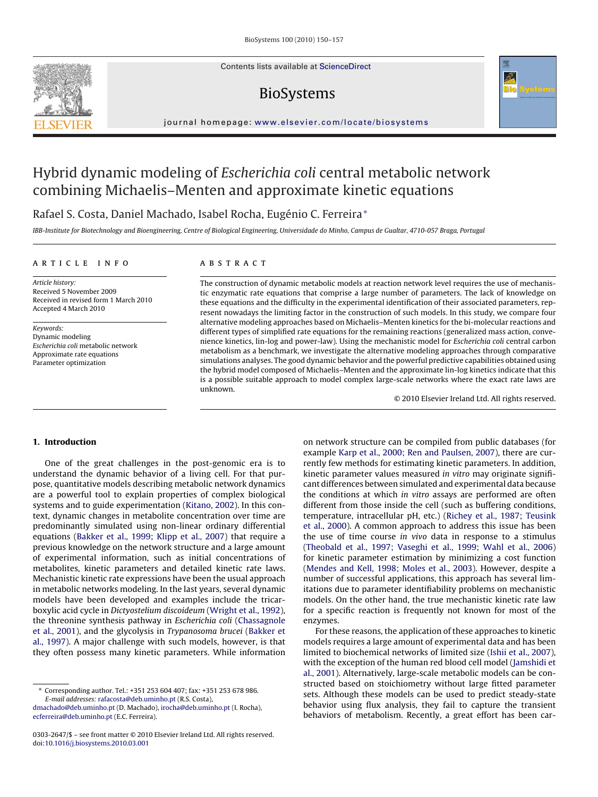Contents lists available at [ScienceDirect](http://www.sciencedirect.com/science/journal/03032647)

# BioSystems



journal homepage: [www.elsevier.com/locate/biosystems](http://www.elsevier.com/locate/biosystems)

# Hybrid dynamic modeling of Escherichia coli central metabolic network combining Michaelis–Menten and approximate kinetic equations

# Rafael S. Costa, Daniel Machado, Isabel Rocha, Eugénio C. Ferreira<sup>∗</sup>

IBB-Institute for Biotechnology and Bioengineering, Centre of Biological Engineering, Universidade do Minho, Campus de Gualtar, 4710-057 Braga, Portugal

### article info

Article history: Received 5 November 2009 Received in revised form 1 March 2010 Accepted 4 March 2010

Keywords: Dynamic modeling Escherichia coli metabolic network Approximate rate equations Parameter optimization

## **ABSTRACT**

The construction of dynamic metabolic models at reaction network level requires the use of mechanistic enzymatic rate equations that comprise a large number of parameters. The lack of knowledge on these equations and the difficulty in the experimental identification of their associated parameters, represent nowadays the limiting factor in the construction of such models. In this study, we compare four alternative modeling approaches based on Michaelis–Menten kinetics for the bi-molecular reactions and different types of simplified rate equations for the remaining reactions (generalized mass action, convenience kinetics, lin-log and power-law). Using the mechanistic model for Escherichia coli central carbon metabolism as a benchmark, we investigate the alternative modeling approaches through comparative simulations analyses. The good dynamic behavior and the powerful predictive capabilities obtained using the hybrid model composed of Michaelis–Menten and the approximate lin-log kinetics indicate that this is a possible suitable approach to model complex large-scale networks where the exact rate laws are unknown.

© 2010 Elsevier Ireland Ltd. All rights reserved.

## **1. Introduction**

One of the great challenges in the post-genomic era is to understand the dynamic behavior of a living cell. For that purpose, quantitative models describing metabolic network dynamics are a powerful tool to explain properties of complex biological systems and to guide experimentation [\(Kitano, 2002\).](#page-7-0) In this context, dynamic changes in metabolite concentration over time are predominantly simulated using non-linear ordinary differential equations ([Bakker et al., 1999; Klipp et al., 2007\)](#page-6-0) that require a previous knowledge on the network structure and a large amount of experimental information, such as initial concentrations of metabolites, kinetic parameters and detailed kinetic rate laws. Mechanistic kinetic rate expressions have been the usual approach in metabolic networks modeling. In the last years, several dynamic models have been developed and examples include the tricarboxylic acid cycle in Dictyostelium discoideum [\(Wright et al., 1992\),](#page-7-0) the threonine synthesis pathway in Escherichia coli [\(Chassagnole](#page-6-0) [et al., 2001\),](#page-6-0) and the glycolysis in Trypanosoma brucei ([Bakker et](#page-6-0) [al., 1997\).](#page-6-0) A major challenge with such models, however, is that they often possess many kinetic parameters. While information

[dmachado@deb.uminho.pt](mailto:dmachado@deb.uminho.pt) (D. Machado), [irocha@deb.uminho.pt](mailto:irocha@deb.uminho.pt) (I. Rocha), [ecferreira@deb.uminho.pt](mailto:ecferreira@deb.uminho.pt) (E.C. Ferreira).

on network structure can be compiled from public databases (for example [Karp et al., 2000; Ren and Paulsen, 2007\),](#page-7-0) there are currently few methods for estimating kinetic parameters. In addition, kinetic parameter values measured in vitro may originate significant differences between simulated and experimental data because the conditions at which in vitro assays are performed are often different from those inside the cell (such as buffering conditions, temperature, intracellular pH, etc.) ([Richey et al., 1987; Teusink](#page-7-0) [et al., 2000\).](#page-7-0) A common approach to address this issue has been the use of time course in vivo data in response to a stimulus [\(Theobald et al., 1997; Vaseghi et al., 1999; Wahl et al., 2006\)](#page-7-0) for kinetic parameter estimation by minimizing a cost function [\(Mendes and Kell, 1998; Moles et al., 2003\).](#page-7-0) However, despite a number of successful applications, this approach has several limitations due to parameter identifiability problems on mechanistic models. On the other hand, the true mechanistic kinetic rate law for a specific reaction is frequently not known for most of the enzymes.

For these reasons, the application of these approaches to kinetic models requires a large amount of experimental data and has been limited to biochemical networks of limited size [\(Ishii et al., 2007\),](#page-7-0) with the exception of the human red blood cell model [\(Jamshidi et](#page-7-0) [al., 2001\).](#page-7-0) Alternatively, large-scale metabolic models can be constructed based on stoichiometry without large fitted parameter sets. Although these models can be used to predict steady-state behavior using flux analysis, they fail to capture the transient behaviors of metabolism. Recently, a great effort has been car-

<sup>∗</sup> Corresponding author. Tel.: +351 253 604 407; fax: +351 253 678 986. E-mail addresses: [rafacosta@deb.uminho.pt](mailto:rafacosta@deb.uminho.pt) (R.S. Costa),

<sup>0303-2647/\$ –</sup> see front matter © 2010 Elsevier Ireland Ltd. All rights reserved. doi:[10.1016/j.biosystems.2010.03.001](dx.doi.org/10.1016/j.biosystems.2010.03.001)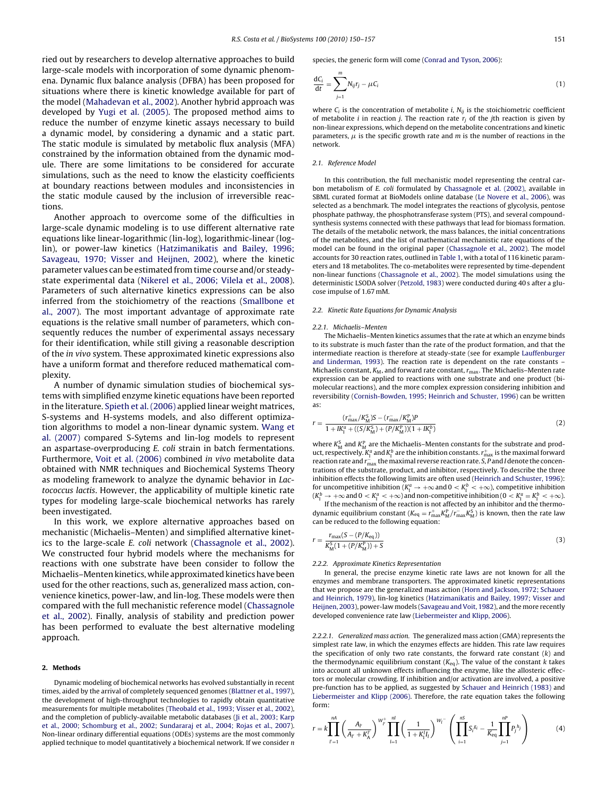<span id="page-1-0"></span>ried out by researchers to develop alternative approaches to build large-scale models with incorporation of some dynamic phenomena. Dynamic flux balance analysis (DFBA) has been proposed for situations where there is kinetic knowledge available for part of the model ([Mahadevan et al., 2002\).](#page-7-0) Another hybrid approach was developed by [Yugi et al. \(2005\).](#page-7-0) The proposed method aims to reduce the number of enzyme kinetic assays necessary to build a dynamic model, by considering a dynamic and a static part. The static module is simulated by metabolic flux analysis (MFA) constrained by the information obtained from the dynamic module. There are some limitations to be considered for accurate simulations, such as the need to know the elasticity coefficients at boundary reactions between modules and inconsistencies in the static module caused by the inclusion of irreversible reactions.

Another approach to overcome some of the difficulties in large-scale dynamic modeling is to use different alternative rate equations like linear-logarithmic (lin-log), logarithmic-linear (loglin), or power-law kinetics [\(Hatzimanikatis and Bailey, 1996;](#page-7-0) [Savageau, 1970; Visser and Heijnen, 2002\),](#page-7-0) where the kinetic parameter values can be estimated from time course and/or steadystate experimental data [\(Nikerel et al., 2006; Vilela et al., 2008\).](#page-7-0) Parameters of such alternative kinetics expressions can be also inferred from the stoichiometry of the reactions ([Smallbone et](#page-7-0) [al., 2007\).](#page-7-0) The most important advantage of approximate rate equations is the relative small number of parameters, which consequently reduces the number of experimental assays necessary for their identification, while still giving a reasonable description of the in vivo system. These approximated kinetic expressions also have a uniform format and therefore reduced mathematical complexity.

A number of dynamic simulation studies of biochemical systems with simplified enzyme kinetic equations have been reported in the literature. [Spieth et al. \(2006\)](#page-7-0) applied linear weight matrices, S-systems and H-systems models, and also different optimization algorithms to model a non-linear dynamic system. [Wang et](#page-7-0) [al. \(2007\)](#page-7-0) compared S-Sytems and lin-log models to represent an aspartase-overproducing E. coli strain in batch fermentations. Furthermore, [Voit et al. \(2006\)](#page-7-0) combined in vivo metabolite data obtained with NMR techniques and Biochemical Systems Theory as modeling framework to analyze the dynamic behavior in Lactococcus lactis. However, the applicability of multiple kinetic rate types for modeling large-scale biochemical networks has rarely been investigated.

In this work, we explore alternative approaches based on mechanistic (Michaelis–Menten) and simplified alternative kinetics to the large-scale E. coli network [\(Chassagnole et al., 2002\).](#page-6-0) We constructed four hybrid models where the mechanisms for reactions with one substrate have been consider to follow the Michaelis–Menten kinetics, while approximated kinetics have been used for the other reactions, such as, generalized mass action, convenience kinetics, power-law, and lin-log. These models were then compared with the full mechanistic reference model [\(Chassagnole](#page-6-0) [et al., 2002\).](#page-6-0) Finally, analysis of stability and prediction power has been performed to evaluate the best alternative modeling approach.

#### **2. Methods**

Dynamic modeling of biochemical networks has evolved substantially in recent times, aided by the arrival of completely sequenced genomes ([Blattner et al., 1997\),](#page-6-0) the development of high-throughput technologies to rapidly obtain quantitative measurements for multiple metabolites ([Theobald et al., 1993; Visser et al., 2002\),](#page-7-0) and the completion of publicly-available metabolic databases ([Ji et al., 2003; Karp](#page-7-0) [et al., 2000; Schomburg et al., 2002; Sundararaj et al., 2004; Rojas et al., 2007\).](#page-7-0) Non-linear ordinary differential equations (ODEs) systems are the most commonly applied technique to model quantitatively a biochemical network. If we consider n

species, the generic form will come ([Conrad and Tyson, 2006\):](#page-6-0)

$$
\frac{dC_i}{dt} = \sum_{j=1}^{m} N_{ij} r_j - \mu C_i
$$
\n(1)

where  $C_i$  is the concentration of metabolite *i*,  $N_{ii}$  is the stoichiometric coefficient of metabolite *i* in reaction *j*. The reaction rate  $r_i$  of the *j*th reaction is given by non-linear expressions, which depend on the metabolite concentrations and kinetic parameters,  $\mu$  is the specific growth rate and m is the number of reactions in the network.

#### 2.1. Reference Model

In this contribution, the full mechanistic model representing the central carbon metabolism of E. coli formulated by [Chassagnole et al. \(2002\), a](#page-6-0)vailable in SBML curated format at BioModels online database [\(Le Novere et al., 2006\),](#page-7-0) was selected as a benchmark. The model integrates the reactions of glycolysis, pentose phosphate pathway, the phosphotransferase system (PTS), and several compoundsynthesis systems connected with these pathways that lead for biomass formation. The details of the metabolic network, the mass balances, the initial concentrations of the metabolites, and the list of mathematical mechanistic rate equations of the model can be found in the original paper ([Chassagnole et al., 2002\).](#page-6-0) The model accounts for 30 reaction rates, outlined in [Table 1, w](#page-2-0)ith a total of 116 kinetic parameters and 18 metabolites. The co-metabolites were represented by time-dependent non-linear functions [\(Chassagnole et al., 2002\).](#page-6-0) The model simulations using the deterministic LSODA solver ([Petzold, 1983\) w](#page-7-0)ere conducted during 40 s after a glucose impulse of 1.67 mM.

#### 2.2. Kinetic Rate Equations for Dynamic Analysis

#### 2.2.1. Michaelis–Menten

The Michaelis–Menten kinetics assumes that the rate at which an enzyme binds to its substrate is much faster than the rate of the product formation, and that the intermediate reaction is therefore at steady-state (see for example [Lauffenburger](#page-7-0) [and Linderman, 1993\).](#page-7-0) The reaction rate is dependent on the rate constants – Michaelis constant,  $K_M$ , and forward rate constant,  $r_{\text{max}}$ . The Michaelis–Menten rate expression can be applied to reactions with one substrate and one product (bimolecular reactions), and the more complex expression considering inhibition and reversibility ([Cornish-Bowden, 1995; Heinrich and Schuster, 1996\) c](#page-6-0)an be written as:

$$
r = \frac{(r_{\text{max}}^+ / K_M^S)S - (r_{\text{max}}^- / K_M^P)P}{1 + iK_I^a + ((S/K_M^S) + (P/K_M^P))(1 + iK_I^b)}
$$
(2)

where  $K_M^S$  and  $K_M^P$  are the Michaelis–Menten constants for the substrate and product, respectively.  $K^a_l$  and  $K^b_l$  are the inhibition constants.  $r^+_{\rm max}$  is the maximal forward reaction rate and  $r_{\rm max}^-$  the maximal reverse reaction rate. S, P and I denote the concentrations of the substrate, product, and inhibitor, respectively. To describe the three inhibition effects the following limits are often used ([Heinrich and Schuster, 1996\):](#page-7-0) for uncompetitive inhibition ( $K_I^a \to +\infty$  and  $0 < K_I^b < +\infty$ ), competitive inhibition  $(K^b_1)$  $I_I^{b} \to +\infty$  and  $0 < K_I^a < +\infty$ ) and non-competitive inhibition (  $0 < K_I^a = K_I^b < +\infty$  ).

If the mechanism of the reaction is not affected by an inhibitor and the thermodynamic equilibrium constant ( $K_{eq} = r_{max}^+ K_M^p / r_{max}^- K_M^S$ ) is known, then the rate law can be reduced to the following equation:

$$
r = \frac{r_{\text{max}}(S - (P/K_{\text{eq}}))}{K_{\text{M}}^{S}(1 + (P/K_{\text{M}}^{P})) + S}
$$
\n(3)

2.2.2. Approximate Kinetics Representation

In general, the precise enzyme kinetic rate laws are not known for all the enzymes and membrane transporters. The approximated kinetic representations that we propose are the generalized mass action ([Horn and Jackson, 1972; Schauer](#page-7-0) [and Heinrich, 1979\),](#page-7-0) lin-log kinetics ([Hatzimanikatis and Bailey, 1997; Visser and](#page-7-0) [Heijnen, 2003\),](#page-7-0) power-law models [\(Savageau and Voit, 1982\),](#page-7-0) and the more recently developed convenience rate law ([Liebermeister and Klipp, 2006\).](#page-7-0)

2.2.2.1. Generalized mass action. The generalized mass action (GMA) represents the simplest rate law, in which the enzymes effects are hidden. This rate law requires the specification of only two rate constants, the forward rate constant  $(k)$  and the thermodynamic equilibrium constant ( $K_{eq}$ ). The value of the constant k takes into account all unknown effects influencing the enzyme, like the allosteric effectors or molecular crowding. If inhibition and/or activation are involved, a positive pre-function has to be applied, as suggested by [Schauer and Heinrich \(1983\)](#page-7-0) and [Liebermeister and Klipp \(2006\). T](#page-7-0)herefore, the rate equation takes the following form:

$$
r = k \prod_{l'=1}^{nA} \left( \frac{A_{l'}}{A_{l'} + K''_{A}} \right)^{W''_{l'}} \prod_{l=1}^{nI} \left( \frac{1}{1 + K''_{l} I_{l}} \right)^{W_{l}^{-}} \left( \prod_{i=1}^{nS} S_{i}^{g_{i}} - \frac{1}{K_{eq}} \prod_{j=1}^{nP} P_{j}^{h_{j}} \right)
$$
(4)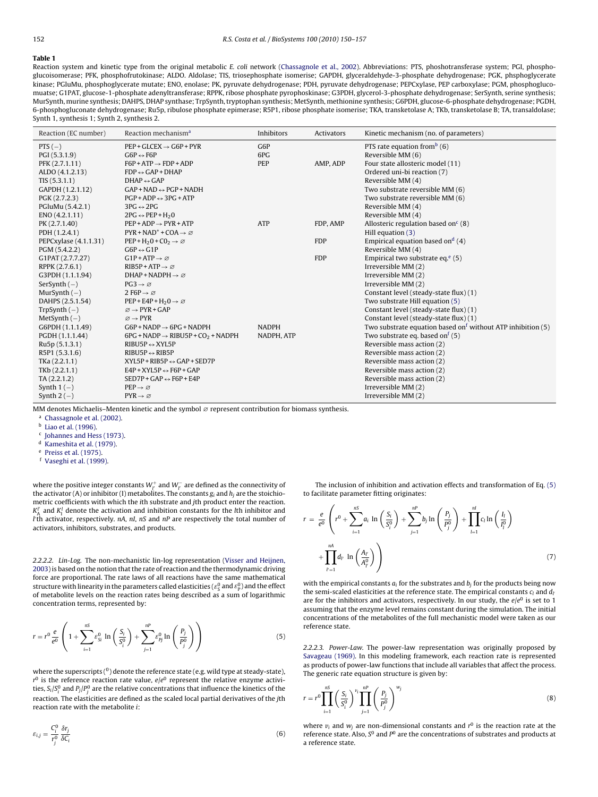#### <span id="page-2-0"></span>**Table 1**

Reaction system and kinetic type from the original metabolic E. coli network [\(Chassagnole et al., 2002\).](#page-6-0) Abbreviations: PTS, phoshotransferase system; PGI, phosphoglucoisomerase; PFK, phosphofrutokinase; ALDO. Aldolase; TIS, triosephosphate isomerise; GAPDH, glyceraldehyde-3-phosphate dehydrogenase; PGK, phsphoglycerate kinase; PGluMu, phosphoglycerate mutate; ENO, enolase; PK, pyruvate dehydrogenase; PDH, pyruvate dehydrogenase; PEPCxylase, PEP carboxylase; PGM, phosphoglucomuatse; G1PAT, glucose-1-phosphate adenyltransferase; RPPK, ribose phosphate pyrophoskinase; G3PDH, glycerol-3-phosphate dehydrogenase; SerSynth, serine synthesis; MurSynth, murine synthesis; DAHPS, DHAP synthase; TrpSynth, tryptophan synthesis; MetSynth, methionine synthesis; G6PDH, glucose-6-phosphate dehydrogenase; PGDH, 6-phosphogluconate dehydrogenase; Ru5p, ribulose phosphate epimerase; R5P1, ribose phosphate isomerise; TKA, transketolase A; TKb, transketolase B; TA, transaldolase; Synth 1, synthesis 1; Synth 2, synthesis 2.

| Reaction (EC number)  | Reaction mechanism <sup>a</sup>               | Inhibitors   | <b>Activators</b> | Kinetic mechanism (no. of parameters)                        |
|-----------------------|-----------------------------------------------|--------------|-------------------|--------------------------------------------------------------|
| $PTS(-)$              | $PEP + GLCEX \rightarrow G6P + PYR$           | G6P          |                   | PTS rate equation from $(6)$                                 |
| PGI (5.3.1.9)         | $G6P \leftrightarrow F6P$                     | 6PG          |                   | Reversible MM (6)                                            |
| PFK (2.7.1.11)        | $F6P + ATP \rightarrow FDP + ADP$             | PEP          | AMP, ADP          | Four state allosteric model (11)                             |
| ALDO (4.1.2.13)       | $FDP \leftrightarrow GAP + DHAP$              |              |                   | Ordered uni-bi reaction (7)                                  |
| TIS(5.3.1.1)          | $DHAP \leftrightarrow GAP$                    |              |                   | Reversible MM (4)                                            |
| GAPDH (1.2.1.12)      | $GAP + NAD \leftrightarrow PGP + NADH$        |              |                   | Two substrate reversible MM (6)                              |
| PGK (2.7.2.3)         | $PGP + ADP \leftrightarrow 3PG + ATP$         |              |                   | Two substrate reversible MM (6)                              |
| PGluMu (5.4.2.1)      | $3PG \leftrightarrow 2PG$                     |              |                   | Reversible MM (4)                                            |
| ENO (4.2.1.11)        | $2PG \leftrightarrow PEP + H_2O$              |              |                   | Reversible MM (4)                                            |
| PK (2.7.1.40)         | $PEP + ADP \rightarrow PYR + ATP$             | <b>ATP</b>   | FDP, AMP          | Allosteric regulation based on $c(8)$                        |
| PDH (1.2.4.1)         | $PYR + NAD^+ + COA \rightarrow \emptyset$     |              |                   | Hill equation (3)                                            |
| PEPCxylase (4.1.1.31) | $PEP + H_2O + CO_2 \rightarrow \emptyset$     |              | <b>FDP</b>        | Empirical equation based on <sup>d</sup> (4)                 |
| PGM (5.4.2.2)         | $G6P \leftrightarrow G1P$                     |              |                   | Reversible MM (4)                                            |
| G1PAT (2.7.7.27)      | $G1P+ATP\rightarrow\varnothing$               |              | <b>FDP</b>        | Empirical two substrate eq. $e(5)$                           |
| RPPK (2.7.6.1)        | $RIB5P+ATP \rightarrow \varnothing$           |              |                   | Irreversible MM (2)                                          |
| G3PDH (1.1.1.94)      | $DHAP + NADPH \rightarrow \varnothing$        |              |                   | Irreversible MM (2)                                          |
| SerSynth $(-)$        | $PG3 \rightarrow \varnothing$                 |              |                   | Irreversible MM (2)                                          |
| MurSynth $(-)$        | 2 F6P $\rightarrow \varnothing$               |              |                   | Constant level (steady-state flux) (1)                       |
| DAHPS (2.5.1.54)      | $PEP + E4P + H_2O \rightarrow \emptyset$      |              |                   | Two substrate Hill equation (5)                              |
| $TrpSynth (-)$        | $\varnothing \to PYR + GAP$                   |              |                   | Constant level (steady-state flux) (1)                       |
| MetSynth $(-)$        | $\varnothing \to PYR$                         |              |                   | Constant level (steady-state flux) (1)                       |
| G6PDH (1.1.1.49)      | $G6P + NADP \rightarrow 6PG + NADPH$          | <b>NADPH</b> |                   | Two substrate equation based on without ATP inhibition $(5)$ |
| PGDH (1.1.1.44)       | $6PG + NADP \rightarrow RIBU5P + CO2 + NADPH$ | NADPH, ATP   |                   | Two substrate eq. based on <sup>f</sup> (5)                  |
| Ru5p (5.1.3.1)        | $RIBU5P \leftrightarrow XYL5P$                |              |                   | Reversible mass action (2)                                   |
| R5P1 (5.3.1.6)        | $RIBU5P \leftrightarrow RIB5P$                |              |                   | Reversible mass action (2)                                   |
| TKa(2.2.1.1)          | $XYL5P + RIB5P \leftrightarrow GAP + SED7P$   |              |                   | Reversible mass action (2)                                   |
| TKb(2.2.1.1)          | $E4P + XYL5P \leftrightarrow F6P + GAP$       |              |                   | Reversible mass action (2)                                   |
| TA(2.2.1.2)           | $SED7P + GAP \leftrightarrow F6P + E4P$       |              |                   | Reversible mass action (2)                                   |
| Synth $1(-)$          | $PEP \rightarrow \varnothing$                 |              |                   | Irreversible MM (2)                                          |
| Synth $2(-)$          | $PYR \rightarrow \varnothing$                 |              |                   | Irreversible MM (2)                                          |

MM denotes Michaelis–Menten kinetic and the symbol  $\varnothing$  represent contribution for biomass synthesis.

<sup>a</sup> [Chassagnole et al. \(2002\).](#page-6-0)

- <sup>b</sup> [Liao et al. \(1996\).](#page-7-0)
- <sup>c</sup> [Johannes and Hess \(1973\).](#page-7-0)
- <sup>d</sup> [Kameshita et al. \(1979\).](#page-7-0)
- <sup>e</sup> [Preiss et al. \(1975\).](#page-7-0)
- <sup>f</sup> [Vaseghi et al. \(1999\).](#page-7-0)

where the positive integer constants  $W^+_{l'}$  and  $W^-_{l'}$  are defined as the connectivity of the activator (A) or inhibitor (I) metabolites. The constants  $g_i$  and  $h_i$  are the stoichiometric coefficients with which the ith substrate and jth product enter the reaction.  $K_{\rm A}^{l'}$  and  $K_{\rm I}^{l}$  denote the activation and inhibition constants for the *l*th inhibitor and *l*'th activator, respectively. nA, nI, nS and nP are respectively the total number of activators, inhibitors, substrates, and products.

2.2.2.2. Lin-Log. The non-mechanistic lin-log representation [\(Visser and Heijnen,](#page-7-0) [2003\) i](#page-7-0)s based on the notion that the rate of reaction and the thermodynamic driving force are proportional. The rate laws of all reactions have the same mathematical structure with linearity in the parameters called elasticities ( $\varepsilon^0_\mathsf{S}$  and  $\varepsilon^0_\mathsf{P}$ ) and the effect of metabolite levels on the reaction rates being described as a sum of logarithmic concentration terms, represented by:

$$
r = r^0 \frac{e}{e^0} \left( 1 + \sum_{i=1}^{nS} \varepsilon_{Si}^0 \ln \left( \frac{S_i}{S_i^0} \right) + \sum_{j=1}^{nP} \varepsilon_{Pj}^0 \ln \left( \frac{P_j}{P_j^0} \right) \right)
$$
(5)

where the superscripts  $(0)$  denote the reference state (e.g. wild type at steady-state),  $r^0$  is the reference reaction rate value,  $e/e^0$  represent the relative enzyme activities,  $\delta_i / S^0_i$  and  $P_j / P^0_j$  are the relative concentrations that influence the kinetics of the reaction. The elasticities are defined as the scaled local partial derivatives of the jth reaction rate with the metabolite i:

$$
\varepsilon_{i,j} = \frac{C_i^0}{r_j^0} \frac{\delta r_j}{\delta C_i} \tag{6}
$$

The inclusion of inhibition and activation effects and transformation of Eq. (5) to facilitate parameter fitting originates:

$$
r = \frac{e}{e^0} \left( r^0 + \sum_{i=1}^{nS} a_i \ln \left( \frac{S_i}{S_i^0} \right) + \sum_{j=1}^{nP} b_j \ln \left( \frac{P_j}{P_j^0} \right) + \prod_{l=1}^{nI} c_l \ln \left( \frac{I_l}{I_l^0} \right) + \prod_{l'=1}^{nA} d_{l'} \ln \left( \frac{A_{l'}}{A_{l'}} \right) \right)
$$
(7)

with the empirical constants  $a_i$  for the substrates and  $b_i$  for the products being now the semi-scaled elasticities at the reference state. The empirical constants  $c_l$  and  $d_l$ are for the inhibitors and activators, respectively. In our study, the  $e/e^0$  is set to 1 assuming that the enzyme level remains constant during the simulation. The initial concentrations of the metabolites of the full mechanistic model were taken as our reference state.

2.2.2.3. Power-Law. The power-law representation was originally proposed by [Savageau \(1969\). I](#page-7-0)n this modeling framework, each reaction rate is represented as products of power-law functions that include all variables that affect the process. The generic rate equation structure is given by:

$$
r = r^0 \prod_{i=1}^{nS} \left(\frac{S_i}{S_i^0}\right)^{\nu_i} \prod_{j=1}^{nP} \left(\frac{P_j}{P_j^0}\right)^{\nu_j}
$$
(8)

where  $v_i$  and  $w_i$  are non-dimensional constants and  $r^0$  is the reaction rate at the reference state. Also,  $S^0$  and  $P^0$  are the concentrations of substrates and products at a reference state.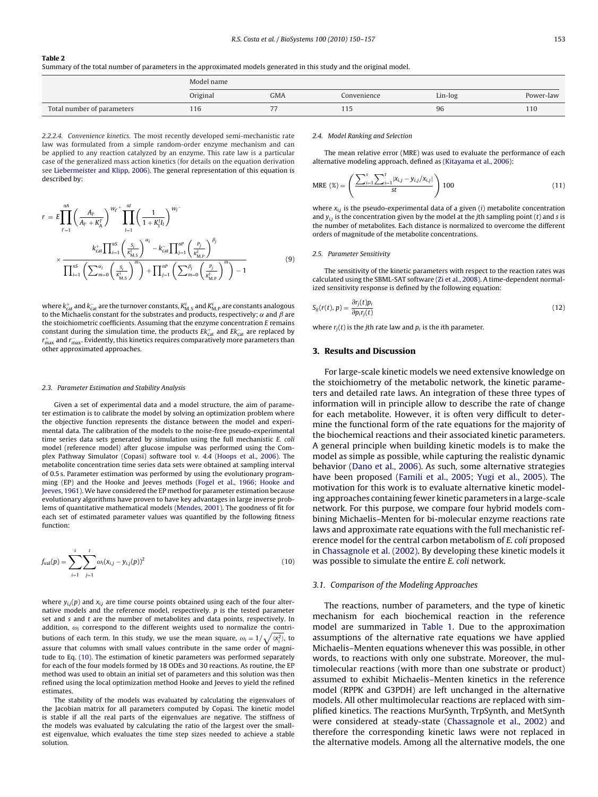#### <span id="page-3-0"></span>**Table 2**

Summary of the total number of parameters in the approximated models generated in this study and the original model.

|                            | Model name |     |             |         |           |  |  |  |
|----------------------------|------------|-----|-------------|---------|-----------|--|--|--|
|                            | Original   | GMA | Convenience | Lin-log | Power-law |  |  |  |
| Total number of parameters | 116        |     | .           | 96      | 110       |  |  |  |

2.2.2.4. Convenience kinetics. The most recently developed semi-mechanistic rate law was formulated from a simple random-order enzyme mechanism and can be applied to any reaction catalyzed by an enzyme. This rate law is a particular case of the generalized mass action kinetics (for details on the equation derivation see [Liebermeister and Klipp, 2006\).](#page-7-0) The general representation of this equation is described by:

$$
r = E \prod_{l'=1}^{nA} \left( \frac{A_{l'}}{A_{l'} + K_{A}^{l'}} \right)^{W_{l}^{+}} \prod_{l=1}^{nI} \left( \frac{1}{1 + K_{l}^{l} I_{l}} \right)^{W_{l}^{-}}
$$

$$
\times \frac{k_{\text{cat}}^{+} \prod_{i=1}^{nS} \left( \frac{S_{i}}{K_{\text{M.S.}}^{i}} \right)^{\alpha_{i}} - k_{\text{cat}}^{-} \prod_{j=1}^{nP} \left( \frac{P_{j}}{K_{\text{M,P}}^{l}} \right)^{\beta_{j}}}{\prod_{i=1}^{nS} \left( \sum_{m=0}^{\alpha_{i}} \left( \frac{S_{i}}{K_{\text{M.S.}}^{i}} \right)^{m} \right) + \prod_{j=1}^{nP} \left( \sum_{m=0}^{\beta_{j}} \left( \frac{P_{j}}{K_{\text{M,P}}^{l}} \right)^{m} \right) - 1}
$$
(9)

where  $k_{\mathrm{cat}}^+$  and  $k_{\mathrm{cat}}^-$  are the turnover constants,  $K^i_{\mathrm{M},\mathrm{S}}$  and  $K^i_{\mathrm{M},\mathrm{P}}$  are constants analogous to the Michaelis constant for the substrates and products, respectively;  $\alpha$  and  $\beta$  are the stoichiometric coefficients. Assuming that the enzyme concentration  $E$  remains constant during the simulation time, the products  $\mathit{Ek}^{\scriptscriptstyle +}_{\scriptscriptstyle \text{cat}}$  and  $\mathit{Ek}^{\scriptscriptstyle -}_{\scriptscriptstyle \text{cat}}$  are replaced by  $r_{\rm max}^+$  and  $r_{\rm max}^-$ . Evidently, this kinetics requires comparatively more parameters than other approximated approaches.

#### 2.3. Parameter Estimation and Stability Analysis

Given a set of experimental data and a model structure, the aim of parameter estimation is to calibrate the model by solving an optimization problem where the objective function represents the distance between the model and experimental data. The calibration of the models to the noise-free pseudo-experimental time series data sets generated by simulation using the full mechanistic E. coli model (reference model) after glucose impulse was performed using the Complex Pathway Simulator (Copasi) software tool v. 4.4 ([Hoops et al., 2006\).](#page-7-0) The metabolite concentration time series data sets were obtained at sampling interval of 0.5 s. Parameter estimation was performed by using the evolutionary programming (EP) and the Hooke and Jeeves methods [\(Fogel et al., 1966; Hooke and](#page-6-0) [Jeeves, 1961\).](#page-6-0) We have considered the EP method for parameter estimation because evolutionary algorithms have proven to have key advantages in large inverse problems of quantitative mathematical models [\(Mendes, 2001\).](#page-7-0) The goodness of fit for each set of estimated parameter values was quantified by the following fitness function:

$$
f_{\text{val}}(p) = \sum_{i=1}^{s} \sum_{j=1}^{t} \omega_i (x_{i,j} - y_{i,j}(p))^2
$$
 (10)

where  $y_{i,j}(p)$  and  $x_{i,j}$  are time course points obtained using each of the four alternative models and the reference model, respectively. p is the tested parameter set and s and t are the number of metabolites and data points, respectively. In addition,  $\omega_i$  correspond to the different weights used to normalize the contributions of each term. In this study, we use the mean square,  $\omega_i = 1/\sqrt{\langle x_i^2 \rangle}$ , to assure that columns with small values contribute in the same order of magnitude to Eq. (10). The estimation of kinetic parameters was performed separately for each of the four models formed by 18 ODEs and 30 reactions. As routine, the EP method was used to obtain an initial set of parameters and this solution was then refined using the local optimization method Hooke and Jeeves to yield the refined estimates.

The stability of the models was evaluated by calculating the eigenvalues of the Jacobian matrix for all parameters computed by Copasi. The kinetic model is stable if all the real parts of the eigenvalues are negative. The stiffness of the models was evaluated by calculating the ratio of the largest over the smallest eigenvalue, which evaluates the time step sizes needed to achieve a stable solution.

#### 2.4. Model Ranking and Selection

The mean relative error (MRE) was used to evaluate the performance of each alternative modeling approach, defined as ([Kitayama et al., 2006\):](#page-7-0)

MRE 
$$
(\mathscr{X}) = \left(\frac{\sum_{i=1}^{s} \sum_{i=1}^{t} |x_{i,j} - y_{i,j}/x_{i,j}|}{st}\right) 100
$$
 (11)

where  $x_{i,j}$  is the pseudo-experimental data of a given (i) metabolite concentration and  $y_{ij}$  is the concentration given by the model at the *j*th sampling point (*t*) and *s* is the number of metabolites. Each distance is normalized to overcome the different orders of magnitude of the metabolite concentrations.

#### 2.5. Parameter Sensitivity

The sensitivity of the kinetic parameters with respect to the reaction rates was calculated using the SBML-SAT software [\(Zi et al., 2008\).](#page-7-0) A time-dependent normalized sensitivity response is defined by the following equation:

$$
S_{ij}(r(t), p) = \frac{\partial r_j(t) p_i}{\partial p_i r_j(t)}
$$
\n(12)

where  $r_i(t)$  is the jth rate law and  $p_i$  is the ith parameter.

#### **3. Results and Discussion**

For large-scale kinetic models we need extensive knowledge on the stoichiometry of the metabolic network, the kinetic parameters and detailed rate laws. An integration of these three types of information will in principle allow to describe the rate of change for each metabolite. However, it is often very difficult to determine the functional form of the rate equations for the majority of the biochemical reactions and their associated kinetic parameters. A general principle when building kinetic models is to make the model as simple as possible, while capturing the realistic dynamic behavior ([Dano et al., 2006\).](#page-6-0) As such, some alternative strategies have been proposed [\(Famili et al., 2005; Yugi et al., 2005\).](#page-6-0) The motivation for this work is to evaluate alternative kinetic modeling approaches containing fewer kinetic parameters in a large-scale network. For this purpose, we compare four hybrid models combining Michaelis–Menten for bi-molecular enzyme reactions rate laws and approximate rate equations with the full mechanistic reference model for the central carbon metabolism of E. coli proposed in [Chassagnole et al. \(2002\). B](#page-6-0)y developing these kinetic models it was possible to simulate the entire E. coli network.

#### 3.1. Comparison of the Modeling Approaches

The reactions, number of parameters, and the type of kinetic mechanism for each biochemical reaction in the reference model are summarized in [Table 1.](#page-2-0) Due to the approximation assumptions of the alternative rate equations we have applied Michaelis–Menten equations whenever this was possible, in other words, to reactions with only one substrate. Moreover, the multimolecular reactions (with more than one substrate or product) assumed to exhibit Michaelis–Menten kinetics in the reference model (RPPK and G3PDH) are left unchanged in the alternative models. All other multimolecular reactions are replaced with simplified kinetics. The reactions MurSynth, TrpSynth, and MetSynth were considered at steady-state ([Chassagnole et al., 2002\)](#page-6-0) and therefore the corresponding kinetic laws were not replaced in the alternative models. Among all the alternative models, the one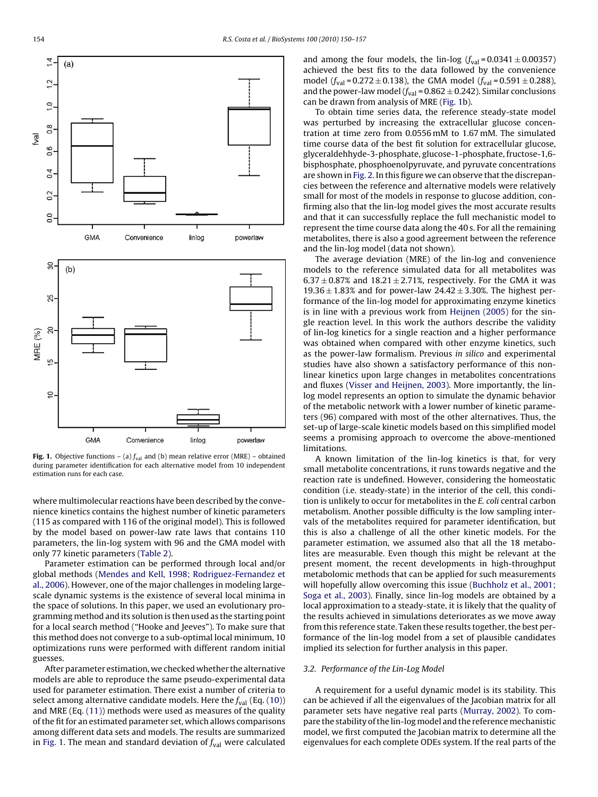

**Fig. 1.** Objective functions – (a)  $f_{val}$  and (b) mean relative error (MRE) – obtained during parameter identification for each alternative model from 10 independent estimation runs for each case.

where multimolecular reactions have been described by the convenience kinetics contains the highest number of kinetic parameters (115 as compared with 116 of the original model). This is followed by the model based on power-law rate laws that contains 110 parameters, the lin-log system with 96 and the GMA model with only 77 kinetic parameters ([Table 2\).](#page-3-0)

Parameter estimation can be performed through local and/or global methods [\(Mendes and Kell, 1998; Rodriguez-Fernandez et](#page-7-0) [al., 2006\).](#page-7-0) However, one of the major challenges in modeling largescale dynamic systems is the existence of several local minima in the space of solutions. In this paper, we used an evolutionary programming method and its solution is then used as the starting point for a local search method ("Hooke and Jeeves"). To make sure that this method does not converge to a sub-optimal local minimum, 10 optimizations runs were performed with different random initial guesses.

After parameter estimation, we checked whether the alternative models are able to reproduce the same pseudo-experimental data used for parameter estimation. There exist a number of criteria to select among alternative candidate models. Here the  $f_{val}$  (Eq. [\(10\)\)](#page-3-0) and MRE (Eq. [\(11\)\)](#page-3-0) methods were used as measures of the quality of the fit for an estimated parameter set, which allows comparisons among different data sets and models. The results are summarized in Fig. 1. The mean and standard deviation of  $f_{val}$  were calculated

and among the four models, the lin-log  $(f<sub>val</sub> = 0.0341 \pm 0.00357)$ achieved the best fits to the data followed by the convenience model ( $f_{val}$  = 0.272  $\pm$  0.138), the GMA model ( $f_{val}$  = 0.591  $\pm$  0.288), and the power-law model  $(f<sub>val</sub> = 0.862 \pm 0.242)$ . Similar conclusions can be drawn from analysis of MRE (Fig. 1b).

To obtain time series data, the reference steady-state model was perturbed by increasing the extracellular glucose concentration at time zero from 0.0556 mM to 1.67 mM. The simulated time course data of the best fit solution for extracellular glucose, glyceraldehhyde-3-phosphate, glucose-1-phosphate, fructose-1,6 bisphosphate, phosphoenolpyruvate, and pyruvate concentrations are shown in [Fig. 2. I](#page-5-0)n this figure we can observe that the discrepancies between the reference and alternative models were relatively small for most of the models in response to glucose addition, confirming also that the lin-log model gives the most accurate results and that it can successfully replace the full mechanistic model to represent the time course data along the 40 s. For all the remaining metabolites, there is also a good agreement between the reference and the lin-log model (data not shown).

The average deviation (MRE) of the lin-log and convenience models to the reference simulated data for all metabolites was  $6.37 \pm 0.87$ % and  $18.21 \pm 2.71$ %, respectively. For the GMA it was 19.36  $\pm$  1.83% and for power-law 24.42  $\pm$  3.30%. The highest performance of the lin-log model for approximating enzyme kinetics is in line with a previous work from [Heijnen \(2005\)](#page-7-0) for the single reaction level. In this work the authors describe the validity of lin-log kinetics for a single reaction and a higher performance was obtained when compared with other enzyme kinetics, such as the power-law formalism. Previous in silico and experimental studies have also shown a satisfactory performance of this nonlinear kinetics upon large changes in metabolites concentrations and fluxes ([Visser and Heijnen, 2003\).](#page-7-0) More importantly, the linlog model represents an option to simulate the dynamic behavior of the metabolic network with a lower number of kinetic parameters (96) compared with most of the other alternatives. Thus, the set-up of large-scale kinetic models based on this simplified model seems a promising approach to overcome the above-mentioned limitations.

A known limitation of the lin-log kinetics is that, for very small metabolite concentrations, it runs towards negative and the reaction rate is undefined. However, considering the homeostatic condition (i.e. steady-state) in the interior of the cell, this condition is unlikely to occur for metabolites in the E. coli central carbon metabolism. Another possible difficulty is the low sampling intervals of the metabolites required for parameter identification, but this is also a challenge of all the other kinetic models. For the parameter estimation, we assumed also that all the 18 metabolites are measurable. Even though this might be relevant at the present moment, the recent developments in high-throughput metabolomic methods that can be applied for such measurements will hopefully allow overcoming this issue ([Buchholz et al., 2001;](#page-6-0) [Soga et al., 2003\).](#page-6-0) Finally, since lin-log models are obtained by a local approximation to a steady-state, it is likely that the quality of the results achieved in simulations deteriorates as we move away from this reference state. Taken these results together, the best performance of the lin-log model from a set of plausible candidates implied its selection for further analysis in this paper.

#### 3.2. Performance of the Lin-Log Model

A requirement for a useful dynamic model is its stability. This can be achieved if all the eigenvalues of the Jacobian matrix for all parameter sets have negative real parts ([Murray, 2002\).](#page-7-0) To compare the stability of the lin-log model and the reference mechanistic model, we first computed the Jacobian matrix to determine all the eigenvalues for each complete ODEs system. If the real parts of the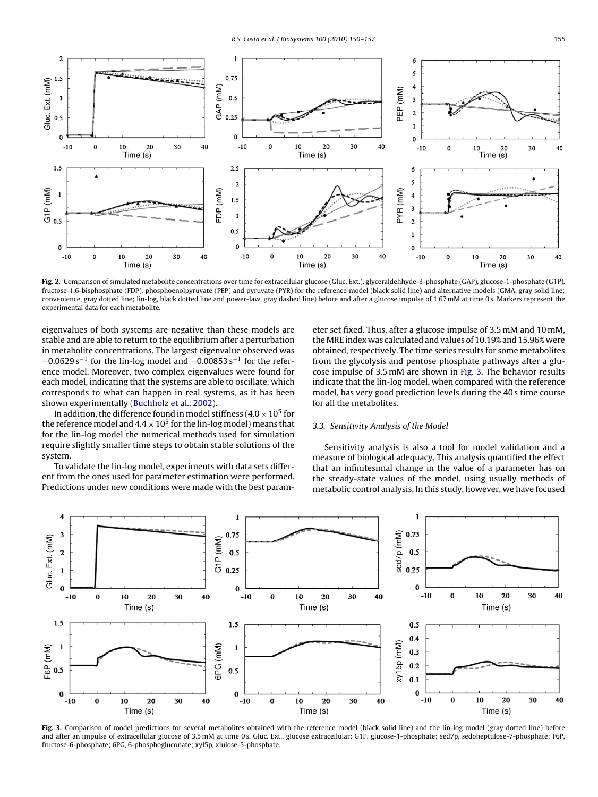<span id="page-5-0"></span>

**Fig. 2.** Comparison of simulated metabolite concentrations over time for extracellular glucose (Gluc. Ext.), glyceraldehhyde-3-phosphate (GAP), glucose-1-phosphate (G1P), fructose-1,6-bisphosphate (FDP), phosphoenolpyruvate (PEP) and pyruvate (PYR) for the reference model (black solid line) and alternative models (GMA, gray solid line; convenience, gray dotted line; lin-log, black dotted line and power-law, gray dashed line) before and after a glucose impulse of 1.67 mM at time 0 s. Markers represent the experimental data for each metabolite.

eigenvalues of both systems are negative than these models are stable and are able to return to the equilibrium after a perturbation in metabolite concentrations. The largest eigenvalue observed was  $-0.0629 s^{-1}$  for the lin-log model and  $-0.00853 s^{-1}$  for the reference model. Moreover, two complex eigenvalues were found for each model, indicating that the systems are able to oscillate, which corresponds to what can happen in real systems, as it has been shown experimentally ([Buchholz et al., 2002\).](#page-6-0)

In addition, the difference found in model stiffness (4.0  $\times$  10<sup>5</sup> for the reference model and  $4.4 \times 10^5$  for the lin-log model) means that for the lin-log model the numerical methods used for simulation require slightly smaller time steps to obtain stable solutions of the system.

To validate the lin-log model, experiments with data sets different from the ones used for parameter estimation were performed. Predictions under new conditions were made with the best parameter set fixed. Thus, after a glucose impulse of 3.5 mM and 10 mM, theMRE index was calculated and values of 10.19% and 15.96% were obtained, respectively. The time series results for some metabolites from the glycolysis and pentose phosphate pathways after a glucose impulse of 3.5 mM are shown in Fig. 3. The behavior results indicate that the lin-log model, when compared with the reference model, has very good prediction levels during the 40 s time course for all the metabolites.

#### 3.3. Sensitivity Analysis of the Model

Sensitivity analysis is also a tool for model validation and a measure of biological adequacy. This analysis quantified the effect that an infinitesimal change in the value of a parameter has on the steady-state values of the model, using usually methods of metabolic control analysis. In this study, however, we have focused



Fig. 3. Comparison of model predictions for several metabolites obtained with the reference model (black solid line) and the lin-log model (gray dotted line) before and after an impulse of extracellular glucose of 3.5 mM at time 0s. Gluc. Ext., glucose extracellular; G1P, glucose-1-phosphate; sed7p, sedoheptulose-7-phosphate; F6P, fructose-6-phosphate; 6PG, 6-phosphogluconate; xyl5p, xlulose-5-phosphate.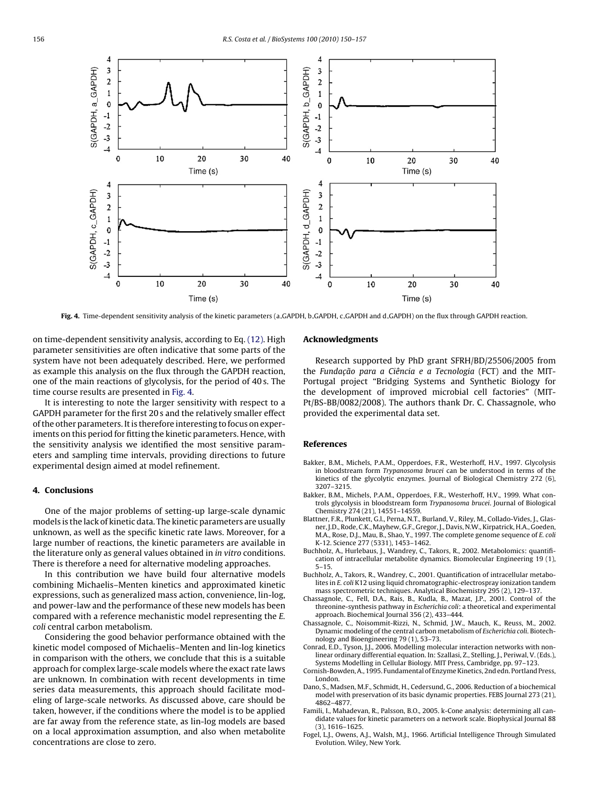<span id="page-6-0"></span>

Fig. 4. Time-dependent sensitivity analysis of the kinetic parameters (a.GAPDH, b.GAPDH, c.GAPDH and d.GAPDH) on the flux through GAPDH reaction.

on time-dependent sensitivity analysis, according to Eq. [\(12\). H](#page-3-0)igh parameter sensitivities are often indicative that some parts of the system have not been adequately described. Here, we performed as example this analysis on the flux through the GAPDH reaction, one of the main reactions of glycolysis, for the period of 40 s. The time course results are presented in Fig. 4.

It is interesting to note the larger sensitivity with respect to a GAPDH parameter for the first 20 s and the relatively smaller effect of the other parameters. It is therefore interesting to focus on experiments on this period for fitting the kinetic parameters. Hence, with the sensitivity analysis we identified the most sensitive parameters and sampling time intervals, providing directions to future experimental design aimed at model refinement.

## **4. Conclusions**

One of the major problems of setting-up large-scale dynamic models is the lack of kinetic data. The kinetic parameters are usually unknown, as well as the specific kinetic rate laws. Moreover, for a large number of reactions, the kinetic parameters are available in the literature only as general values obtained in in vitro conditions. There is therefore a need for alternative modeling approaches.

In this contribution we have build four alternative models combining Michaelis–Menten kinetics and approximated kinetic expressions, such as generalized mass action, convenience, lin-log, and power-law and the performance of these new models has been compared with a reference mechanistic model representing the E. coli central carbon metabolism.

Considering the good behavior performance obtained with the kinetic model composed of Michaelis–Menten and lin-log kinetics in comparison with the others, we conclude that this is a suitable approach for complex large-scale models where the exact rate laws are unknown. In combination with recent developments in time series data measurements, this approach should facilitate modeling of large-scale networks. As discussed above, care should be taken, however, if the conditions where the model is to be applied are far away from the reference state, as lin-log models are based on a local approximation assumption, and also when metabolite concentrations are close to zero.

#### **Acknowledgments**

Research supported by PhD grant SFRH/BD/25506/2005 from the Fundação para a Ciência e a Tecnologia (FCT) and the MIT-Portugal project "Bridging Systems and Synthetic Biology for the development of improved microbial cell factories" (MIT-Pt/BS-BB/0082/2008). The authors thank Dr. C. Chassagnole, who provided the experimental data set.

#### **References**

- Bakker, B.M., Michels, P.A.M., Opperdoes, F.R., Westerhoff, H.V., 1997. Glycolysis in bloodstream form Trypanosoma brucei can be understood in terms of the kinetics of the glycolytic enzymes. Journal of Biological Chemistry 272 (6), 3207–3215.
- Bakker, B.M., Michels, P.A.M., Opperdoes, F.R., Westerhoff, H.V., 1999. What controls glycolysis in bloodstream form Trypanosoma brucei. Journal of Biological Chemistry 274 (21), 14551–14559.
- Blattner, F.R., Plunkett, G.l., Perna, N.T., Burland, V., Riley, M., Collado-Vides, J., Glasner, J.D., Rode, C.K., Mayhew, G.F., Gregor, J., Davis, N.W., Kirpatrick, H.A., Goeden, M.A., Rose, D.J., Mau, B., Shao, Y., 1997. The complete genome sequence of E. coli K-12. Science 277 (5331), 1453–1462.
- Buchholz, A., Hurlebaus, J., Wandrey, C., Takors, R., 2002. Metabolomics: quantification of intracellular metabolite dynamics. Biomolecular Engineering 19 (1), 5–15.
- Buchholz, A., Takors, R., Wandrey, C., 2001. Quantification of intracellular metabolites in E. coli K12 using liquid chromatographic-electrospray ionization tandem mass spectrometric techniques. Analytical Biochemistry 295 (2), 129–137.
- Chassagnole, C., Fell, D.A., Rais, B., Kudla, B., Mazat, J.P., 2001. Control of the threonine-synthesis pathway in Escherichia coli: a theoretical and experimental approach. Biochemical Journal 356 (2), 433–444.
- Chassagnole, C., Noisommit-Rizzi, N., Schmid, J.W., Mauch, K., Reuss, M., 2002. Dynamic modeling of the central carbon metabolism of Escherichia coli. Biotechnology and Bioengineering 79 (1), 53–73.
- Conrad, E.D., Tyson, J.J., 2006. Modelling molecular interaction networks with nonlinear ordinary differential equation. In: Szallasi, Z., Stelling, J., Periwal, V. (Eds.), Systems Modelling in Cellular Biology. MIT Press, Cambridge, pp. 97–123.
- Cornish-Bowden, A., 1995. Fundamental of Enzyme Kinetics, 2nd edn. Portland Press, London.
- Dano, S., Madsen, M.F., Schmidt, H., Cedersund, G., 2006. Reduction of a biochemical model with preservation of its basic dynamic properties. FEBS Journal 273 (21), 4862–4877.
- Famili, I., Mahadevan, R., Palsson, B.O., 2005. k-Cone analysis: determining all candidate values for kinetic parameters on a network scale. Biophysical Journal 88 (3), 1616–1625.
- Fogel, L.J., Owens, A.J., Walsh, M.J., 1966. Artificial Intelligence Through Simulated Evolution. Wiley, New York.